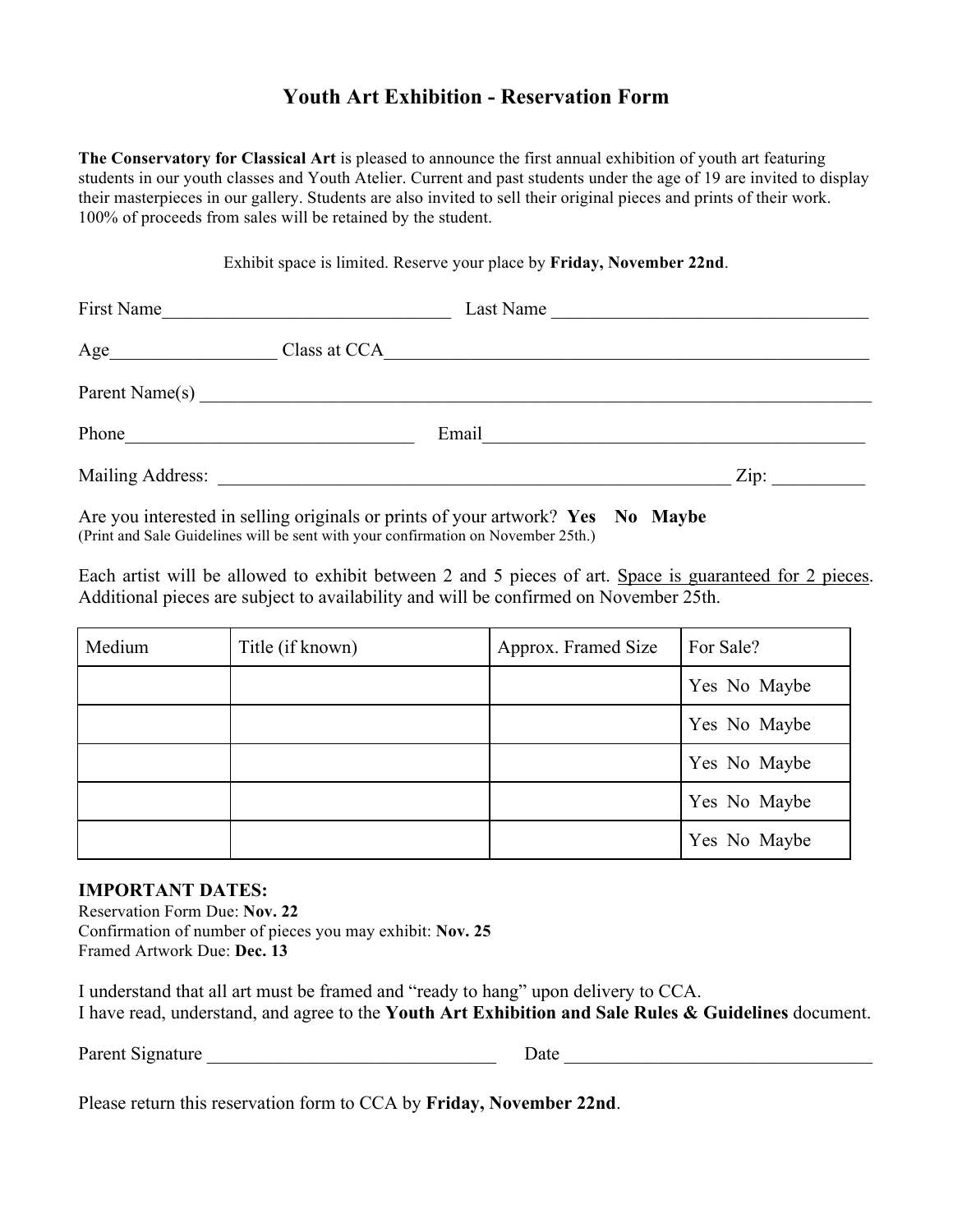### **Youth Art Exhibition - Reservation Form**

**The Conservatory for Classical Art** is pleased to announce the first annual exhibition of youth art featuring students in our youth classes and Youth Atelier. Current and past students under the age of 19 are invited to display their masterpieces in our gallery. Students are also invited to sell their original pieces and prints of their work. 100% of proceeds from sales will be retained by the student.

Exhibit space is limited. Reserve your place by **Friday, November 22nd**.

| First Name                                                                                                                                                                                                                    | <u> 1980 - Johann Stoff, fransk konge og det ble stoffen og det ble stoffen og det ble stoffen og det ble stoffen</u> |       | Last Name                 |
|-------------------------------------------------------------------------------------------------------------------------------------------------------------------------------------------------------------------------------|-----------------------------------------------------------------------------------------------------------------------|-------|---------------------------|
| Age                                                                                                                                                                                                                           |                                                                                                                       |       |                           |
| Parent Name(s)                                                                                                                                                                                                                |                                                                                                                       |       |                           |
| Phone                                                                                                                                                                                                                         |                                                                                                                       | Email |                           |
| Mailing Address: Lawrence and Society and Society and Society and Society and Society and Society and Society and Society and Society and Society and Society and Society and Society and Society and Society and Society and |                                                                                                                       |       | $\overline{\text{Zip: }}$ |

Are you interested in selling originals or prints of your artwork? Yes No Maybe (Print and Sale Guidelines will be sent with your confirmation on November 25th.)

Each artist will be allowed to exhibit between 2 and 5 pieces of art. Space is guaranteed for 2 pieces. Additional pieces are subject to availability and will be confirmed on November 25th.

| Medium | Title (if known) | Approx. Framed Size | For Sale?    |
|--------|------------------|---------------------|--------------|
|        |                  |                     | Yes No Maybe |
|        |                  |                     | Yes No Maybe |
|        |                  |                     | Yes No Maybe |
|        |                  |                     | Yes No Maybe |
|        |                  |                     | Yes No Maybe |

#### **IMPORTANT DATES:**

Reservation Form Due: **Nov. 22** Confirmation of number of pieces you may exhibit: **Nov. 25** Framed Artwork Due: **Dec. 13**

I understand that all art must be framed and "ready to hang" upon delivery to CCA. I have read, understand, and agree to the **Youth Art Exhibition and Sale Rules & Guidelines** document.

Parent Signature \_\_\_\_\_\_\_\_\_\_\_\_\_\_\_\_\_\_\_\_\_\_\_\_\_\_\_\_\_\_\_ Date \_\_\_\_\_\_\_\_\_\_\_\_\_\_\_\_\_\_\_\_\_\_\_\_\_\_\_\_\_\_\_\_\_

Please return this reservation form to CCA by **Friday, November 22nd**.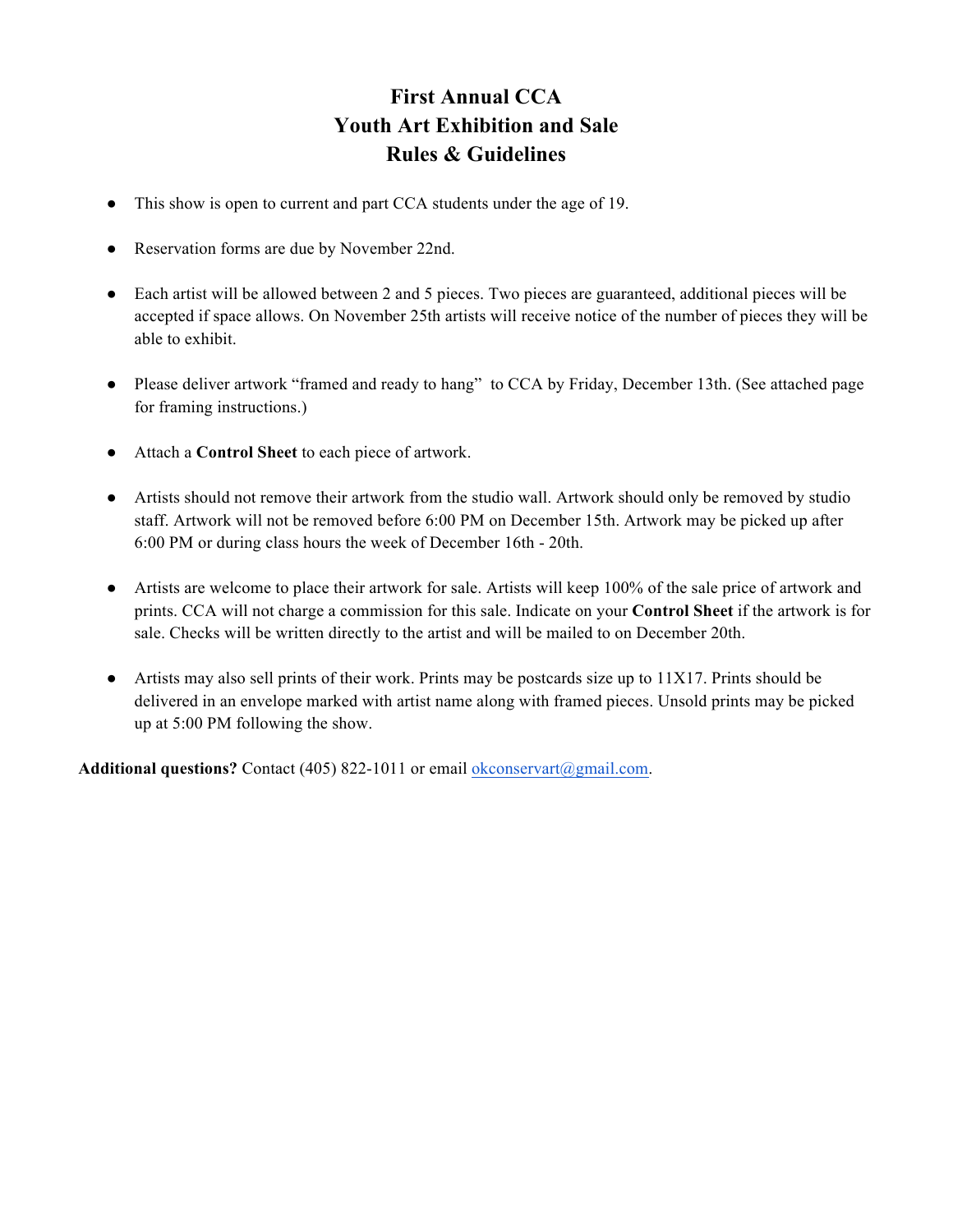# **First Annual CCA Youth Art Exhibition and Sale Rules & Guidelines**

- This show is open to current and part CCA students under the age of 19.
- Reservation forms are due by November 22nd.
- Each artist will be allowed between 2 and 5 pieces. Two pieces are guaranteed, additional pieces will be accepted if space allows. On November 25th artists will receive notice of the number of pieces they will be able to exhibit.
- Please deliver artwork "framed and ready to hang" to CCA by Friday, December 13th. (See attached page for framing instructions.)
- Attach a **Control Sheet** to each piece of artwork.
- Artists should not remove their artwork from the studio wall. Artwork should only be removed by studio staff. Artwork will not be removed before 6:00 PM on December 15th. Artwork may be picked up after 6:00 PM or during class hours the week of December 16th - 20th.
- Artists are welcome to place their artwork for sale. Artists will keep 100% of the sale price of artwork and prints. CCA will not charge a commission for this sale. Indicate on your **Control Sheet** if the artwork is for sale. Checks will be written directly to the artist and will be mailed to on December 20th.
- Artists may also sell prints of their work. Prints may be postcards size up to 11X17. Prints should be delivered in an envelope marked with artist name along with framed pieces. Unsold prints may be picked up at 5:00 PM following the show.

Additional questions? Contact (405) 822-1011 or email okconservart@gmail.com.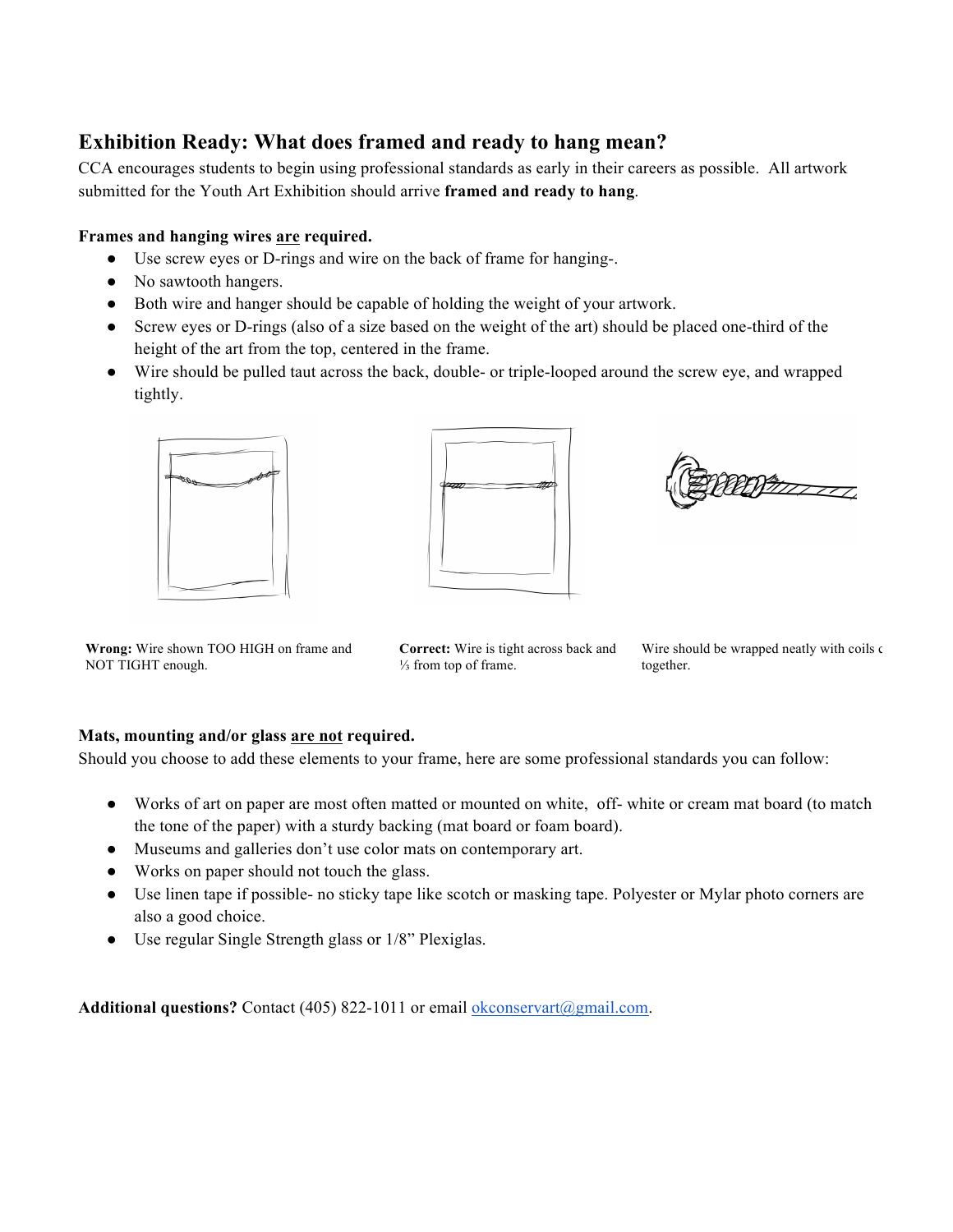### **Exhibition Ready: What does framed and ready to hang mean?**

CCA encourages students to begin using professional standards as early in their careers as possible. All artwork submitted for the Youth Art Exhibition should arrive **framed and ready to hang**.

### **Frames and hanging wires are required.**

- Use screw eyes or D-rings and wire on the back of frame for hanging-.
- No sawtooth hangers.
- Both wire and hanger should be capable of holding the weight of your artwork.
- Screw eyes or D-rings (also of a size based on the weight of the art) should be placed one-third of the height of the art from the top, centered in the frame.
- Wire should be pulled taut across the back, double- or triple-looped around the screw eye, and wrapped tightly.





**Witnessel** 

**Wrong:** Wire shown TOO HIGH on frame and NOT TIGHT enough.

**Correct:** Wire is tight across back and ⅓ from top of frame.

Wire should be wrapped neatly with coils  $\epsilon$ together.

#### **Mats, mounting and/or glass are not required.**

Should you choose to add these elements to your frame, here are some professional standards you can follow:

- Works of art on paper are most often matted or mounted on white, off- white or cream mat board (to match the tone of the paper) with a sturdy backing (mat board or foam board).
- Museums and galleries don't use color mats on contemporary art.
- Works on paper should not touch the glass.
- Use linen tape if possible- no sticky tape like scotch or masking tape. Polyester or Mylar photo corners are also a good choice.
- Use regular Single Strength glass or 1/8" Plexiglas.

Additional questions? Contact (405) 822-1011 or email okconservart@gmail.com.